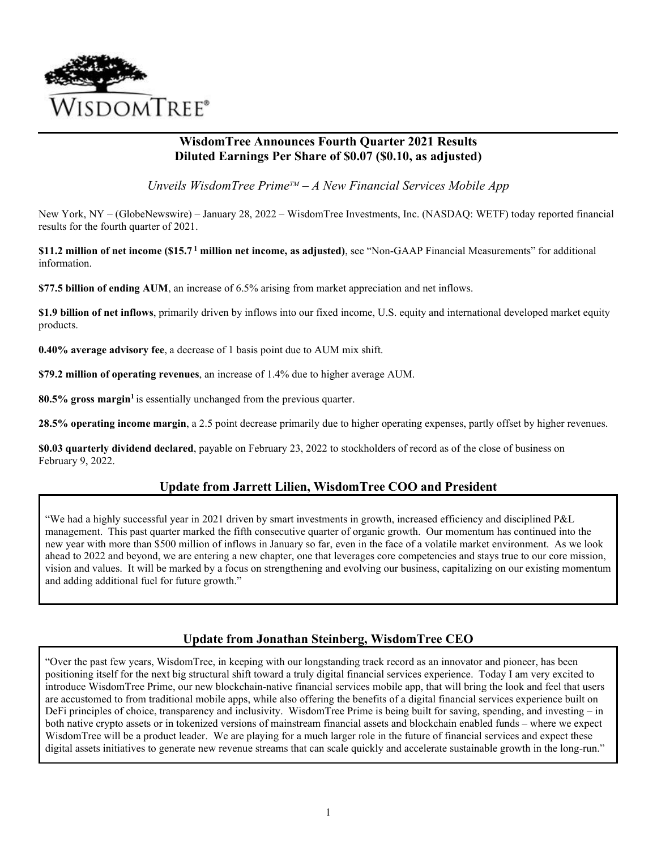

# **WisdomTree Announces Fourth Quarter 2021 Results Diluted Earnings Per Share of \$0.07 (\$0.10, as adjusted)**

*Unveils WisdomTree PrimeTM – A New Financial Services Mobile App*

New York, NY – (GlobeNewswire) – January 28, 2022 – WisdomTree Investments, Inc. (NASDAQ: WETF) today reported financial results for the fourth quarter of 2021.

**\$11.2 million of net income (\$15.7 <sup>1</sup> million net income, as adjusted)**, see "Non-GAAP Financial Measurements" for additional information.

**\$77.5 billion of ending AUM**, an increase of 6.5% arising from market appreciation and net inflows.

**\$1.9 billion of net inflows**, primarily driven by inflows into our fixed income, U.S. equity and international developed market equity products.

**0.40% average advisory fee**, a decrease of 1 basis point due to AUM mix shift.

**\$79.2 million of operating revenues**, an increase of 1.4% due to higher average AUM.

**80.5% gross margin<sup>1</sup>** is essentially unchanged from the previous quarter.

**28.5% operating income margin**, a 2.5 point decrease primarily due to higher operating expenses, partly offset by higher revenues.

**\$0.03 quarterly dividend declared**, payable on February 23, 2022 to stockholders of record as of the close of business on February 9, 2022.

# **Update from Jarrett Lilien, WisdomTree COO and President**

"We had a highly successful year in 2021 driven by smart investments in growth, increased efficiency and disciplined P&L management. This past quarter marked the fifth consecutive quarter of organic growth. Our momentum has continued into the new year with more than \$500 million of inflows in January so far, even in the face of a volatile market environment. As we look ahead to 2022 and beyond, we are entering a new chapter, one that leverages core competencies and stays true to our core mission, vision and values. It will be marked by a focus on strengthening and evolving our business, capitalizing on our existing momentum and adding additional fuel for future growth."

# **Update from Jonathan Steinberg, WisdomTree CEO**

"Over the past few years, WisdomTree, in keeping with our longstanding track record as an innovator and pioneer, has been positioning itself for the next big structural shift toward a truly digital financial services experience. Today I am very excited to introduce WisdomTree Prime, our new blockchain-native financial services mobile app, that will bring the look and feel that users are accustomed to from traditional mobile apps, while also offering the benefits of a digital financial services experience built on DeFi principles of choice, transparency and inclusivity. WisdomTree Prime is being built for saving, spending, and investing – in both native crypto assets or in tokenized versions of mainstream financial assets and blockchain enabled funds – where we expect WisdomTree will be a product leader. We are playing for a much larger role in the future of financial services and expect these digital assets initiatives to generate new revenue streams that can scale quickly and accelerate sustainable growth in the long-run."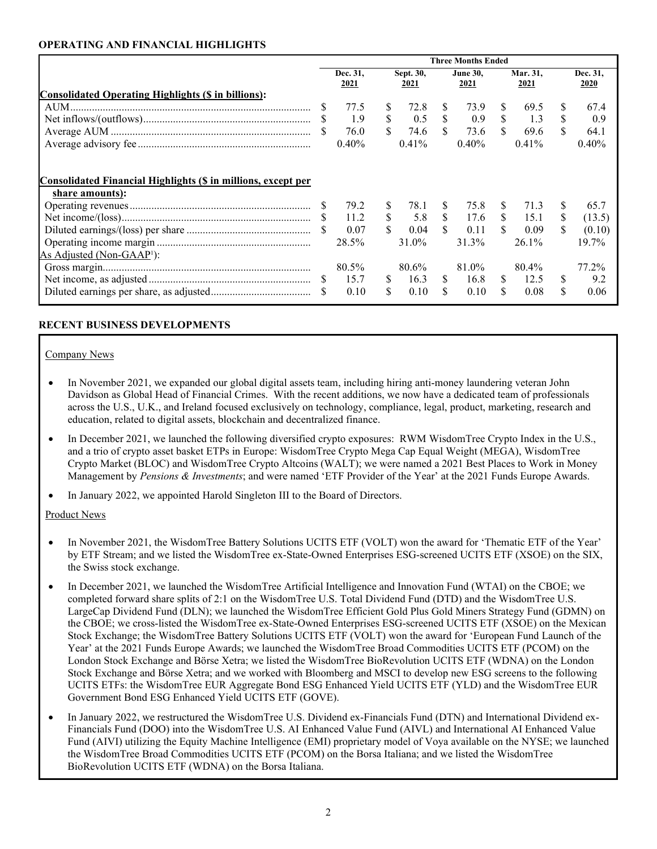## **OPERATING AND FINANCIAL HIGHLIGHTS**

|                                                                                  | <b>Three Months Ended</b> |                      |                   |                     |                         |                      |                  |                      |                |                          |  |  |
|----------------------------------------------------------------------------------|---------------------------|----------------------|-------------------|---------------------|-------------------------|----------------------|------------------|----------------------|----------------|--------------------------|--|--|
|                                                                                  | Dec. 31,<br>2021          |                      | Sept. 30,<br>2021 |                     | <b>June 30,</b><br>2021 |                      | Mar. 31.<br>2021 |                      |                | Dec. 31,<br><b>2020</b>  |  |  |
| <b>Consolidated Operating Highlights (\$ in billions):</b>                       |                           |                      |                   |                     |                         |                      |                  |                      |                |                          |  |  |
|                                                                                  |                           | 77.5                 | \$                | 72.8                | \$.                     | 73.9                 | S.               | 69.5                 | S              | 67.4                     |  |  |
|                                                                                  |                           | 1.9                  | \$                | 0.5                 | \$.                     | 0.9                  | \$.              | 1.3                  | \$             | 0.9                      |  |  |
|                                                                                  |                           | 76.0                 | \$                | 74.6                |                         | 73.6                 | S.               | 69.6                 | \$             | 64.1                     |  |  |
|                                                                                  |                           | 0.40%                |                   | $0.41\%$            |                         | $0.40\%$             |                  | $0.41\%$             |                | 0.40%                    |  |  |
| Consolidated Financial Highlights (\$ in millions, except per<br>share amounts): |                           | 79.2<br>11.2<br>0.07 | \$<br>\$.         | 78.1<br>5.8<br>0.04 | S.<br>\$.<br>S.         | 75.8<br>17.6<br>0.11 | S.<br>S.<br>S.   | 71.3<br>15.1<br>0.09 | S.<br>\$<br>\$ | 65.7<br>(13.5)<br>(0.10) |  |  |
| As Adjusted (Non-GAAP <sup>1</sup> ):                                            |                           | 28.5%                |                   | 31.0%               |                         | 31.3%                |                  | 26.1%                |                | 19.7%                    |  |  |
|                                                                                  |                           | 80.5%                |                   | 80.6%               |                         | 81.0%                |                  | 80.4%                |                | 77.2%                    |  |  |
|                                                                                  |                           | 15.7                 | S.                | 16.3                | <sup>S</sup>            | 16.8                 | <sup>\$</sup>    | 12.5                 | S.             | 9.2                      |  |  |
|                                                                                  |                           | 0.10                 | S                 | 0.10                | S.                      | 0.10                 | \$               | 0.08                 | \$             | 0.06                     |  |  |

### **RECENT BUSINESS DEVELOPMENTS**

#### Company News

- In November 2021, we expanded our global digital assets team, including hiring anti-money laundering veteran John Davidson as Global Head of Financial Crimes. With the recent additions, we now have a dedicated team of professionals across the U.S., U.K., and Ireland focused exclusively on technology, compliance, legal, product, marketing, research and education, related to digital assets, blockchain and decentralized finance.
- In December 2021, we launched the following diversified crypto exposures: RWM WisdomTree Crypto Index in the U.S., and a trio of crypto asset basket ETPs in Europe: WisdomTree Crypto Mega Cap Equal Weight (MEGA), WisdomTree Crypto Market (BLOC) and WisdomTree Crypto Altcoins (WALT); we were named a 2021 Best Places to Work in Money Management by *Pensions & Investments*; and were named 'ETF Provider of the Year' at the 2021 Funds Europe Awards.
- In January 2022, we appointed Harold Singleton III to the Board of Directors.

#### Product News

- In November 2021, the WisdomTree Battery Solutions UCITS ETF (VOLT) won the award for 'Thematic ETF of the Year' by ETF Stream; and we listed the WisdomTree ex-State-Owned Enterprises ESG-screened UCITS ETF (XSOE) on the SIX, the Swiss stock exchange.
- In December 2021, we launched the WisdomTree Artificial Intelligence and Innovation Fund (WTAI) on the CBOE; we completed forward share splits of 2:1 on the WisdomTree U.S. Total Dividend Fund (DTD) and the WisdomTree U.S. LargeCap Dividend Fund (DLN); we launched the WisdomTree Efficient Gold Plus Gold Miners Strategy Fund (GDMN) on the CBOE; we cross-listed the WisdomTree ex-State-Owned Enterprises ESG-screened UCITS ETF (XSOE) on the Mexican Stock Exchange; the WisdomTree Battery Solutions UCITS ETF (VOLT) won the award for 'European Fund Launch of the Year' at the 2021 Funds Europe Awards; we launched the WisdomTree Broad Commodities UCITS ETF (PCOM) on the London Stock Exchange and Börse Xetra; we listed the WisdomTree BioRevolution UCITS ETF (WDNA) on the London Stock Exchange and Börse Xetra; and we worked with Bloomberg and MSCI to develop new ESG screens to the following UCITS ETFs: the WisdomTree EUR Aggregate Bond ESG Enhanced Yield UCITS ETF (YLD) and the WisdomTree EUR Government Bond ESG Enhanced Yield UCITS ETF (GOVE).
- In January 2022, we restructured the WisdomTree U.S. Dividend ex-Financials Fund (DTN) and International Dividend ex-Financials Fund (DOO) into the WisdomTree U.S. AI Enhanced Value Fund (AIVL) and International AI Enhanced Value Fund (AIVI) utilizing the Equity Machine Intelligence (EMI) proprietary model of Voya available on the NYSE; we launched the WisdomTree Broad Commodities UCITS ETF (PCOM) on the Borsa Italiana; and we listed the WisdomTree BioRevolution UCITS ETF (WDNA) on the Borsa Italiana.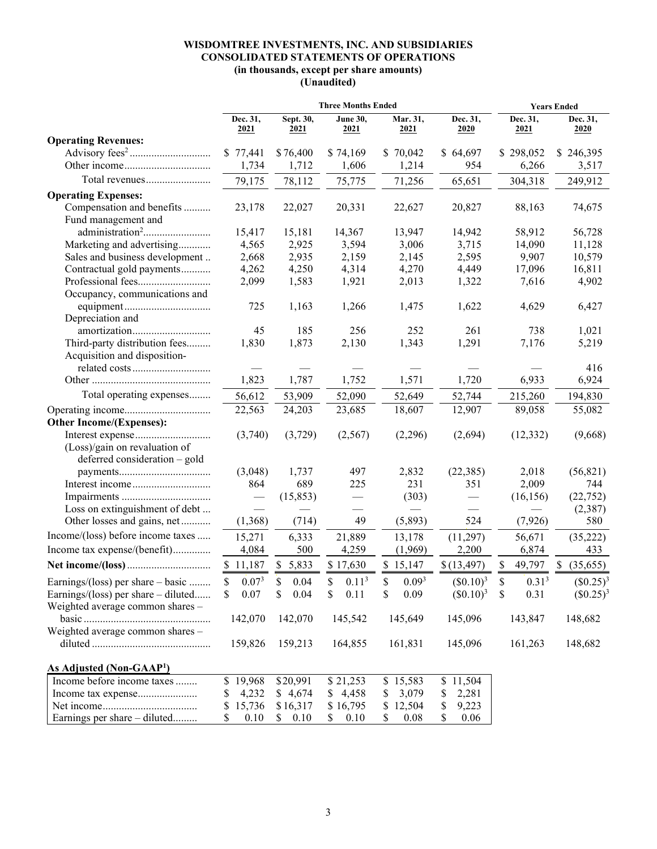### **WISDOMTREE INVESTMENTS, INC. AND SUBSIDIARIES CONSOLIDATED STATEMENTS OF OPERATIONS (in thousands, except per share amounts) (Unaudited)**

|                                      |                  |                   | <b>Three Months Ended</b>     |                  |                               | <b>Years Ended</b> |                  |  |  |  |
|--------------------------------------|------------------|-------------------|-------------------------------|------------------|-------------------------------|--------------------|------------------|--|--|--|
|                                      | Dec. 31,<br>2021 | Sept. 30,<br>2021 | <b>June 30,</b><br>2021       | Mar. 31,<br>2021 | Dec. 31,<br>2020              | Dec. 31,<br>2021   | Dec. 31,<br>2020 |  |  |  |
| <b>Operating Revenues:</b>           |                  |                   |                               |                  |                               |                    |                  |  |  |  |
|                                      | \$77,441         | \$76,400          | \$74,169                      | \$70,042         | \$64,697                      | \$298,052          | \$246,395        |  |  |  |
|                                      | 1,734            | 1,712             | 1,606                         | 1,214            | 954                           | 6,266              | 3,517            |  |  |  |
| Total revenues                       | 79,175           | 78,112            | 75,775                        | 71,256           | 65,651                        | 304,318            | 249,912          |  |  |  |
| <b>Operating Expenses:</b>           |                  |                   |                               |                  |                               |                    |                  |  |  |  |
| Compensation and benefits            | 23,178           | 22,027            | 20,331                        | 22,627           | 20,827                        | 88,163             | 74,675           |  |  |  |
| Fund management and                  |                  |                   |                               |                  |                               |                    |                  |  |  |  |
|                                      | 15,417           | 15,181            | 14,367                        | 13,947           | 14,942                        | 58,912             | 56,728           |  |  |  |
| Marketing and advertising            | 4,565            | 2,925             | 3,594                         | 3,006            | 3,715                         | 14,090             | 11,128           |  |  |  |
| Sales and business development       | 2,668            | 2,935             | 2,159                         | 2,145            | 2,595                         | 9,907              | 10,579           |  |  |  |
| Contractual gold payments            | 4,262            | 4,250             | 4,314                         | 4,270            | 4,449                         | 17,096             | 16,811           |  |  |  |
|                                      | 2,099            | 1,583             | 1,921                         | 2,013            | 1,322                         | 7,616              | 4,902            |  |  |  |
| Occupancy, communications and        |                  |                   |                               |                  |                               |                    |                  |  |  |  |
| Depreciation and                     | 725              | 1,163             | 1,266                         | 1,475            | 1,622                         | 4,629              | 6,427            |  |  |  |
|                                      | 45               | 185               | 256                           | 252              | 261                           | 738                | 1,021            |  |  |  |
| Third-party distribution fees        | 1,830            | 1,873             | 2,130                         | 1,343            | 1,291                         | 7,176              | 5,219            |  |  |  |
| Acquisition and disposition-         |                  |                   |                               |                  |                               |                    |                  |  |  |  |
|                                      |                  |                   |                               |                  |                               |                    | 416              |  |  |  |
|                                      | 1,823            | 1,787             | 1,752                         | 1,571            | 1,720                         | 6,933              | 6,924            |  |  |  |
| Total operating expenses             | 56,612           | 53,909            | 52,090                        | 52,649           | 52,744                        | 215,260            | 194,830          |  |  |  |
|                                      | 22,563           | 24,203            | 23,685                        | 18,607           | 12,907                        | 89,058             | 55,082           |  |  |  |
| Other Income/(Expenses):             |                  |                   |                               |                  |                               |                    |                  |  |  |  |
|                                      | (3,740)          | (3,729)           | (2,567)                       | (2,296)          | (2,694)                       | (12, 332)          | (9,668)          |  |  |  |
| (Loss)/gain on revaluation of        |                  |                   |                               |                  |                               |                    |                  |  |  |  |
| deferred consideration - gold        |                  |                   |                               |                  |                               |                    |                  |  |  |  |
|                                      | (3,048)          | 1,737             | 497                           | 2,832            | (22, 385)                     | 2,018              | (56, 821)        |  |  |  |
|                                      | 864              | 689               | 225                           | 231              | 351                           | 2,009              | 744              |  |  |  |
|                                      |                  | (15, 853)         | $\overbrace{\phantom{aaaaa}}$ | (303)            | $\overbrace{\phantom{aaaaa}}$ | (16, 156)          | (22, 752)        |  |  |  |
| Loss on extinguishment of debt       |                  |                   |                               |                  |                               |                    | (2,387)          |  |  |  |
| Other losses and gains, net          | (1,368)          | (714)             | 49                            | (5,893)          | 524                           | (7, 926)           | 580              |  |  |  |
| Income/(loss) before income taxes    | 15,271           | 6,333             | 21,889                        | 13,178           | (11,297)                      | 56,671             | (35, 222)        |  |  |  |
| Income tax expense/(benefit)         | 4,084            | 500               | 4,259                         | (1,969)          | 2,200                         | 6,874              | 433              |  |  |  |
|                                      | 11,187<br>S      | \$5,833           | \$17,630                      | \$15,147         | \$(13, 497)                   | 49,797<br>\$       | \$<br>(35,655)   |  |  |  |
| Earnings/(loss) per share - basic    | $0.07^{3}$<br>\$ | 0.04<br>\$        | $0.11^3\,$<br>S,              | $0.09^{3}$<br>\$ | $($0.10)^3$                   | \$<br>$0.31^{3}$   | $($0.25)^3$      |  |  |  |
| Earnings/(loss) per share – diluted  | 0.07<br>\$       | \$<br>0.04        | \$<br>0.11                    | \$<br>0.09       | $($0.10)^3$                   | \$<br>0.31         | $($0.25)^3$      |  |  |  |
| Weighted average common shares -     |                  |                   |                               |                  |                               |                    |                  |  |  |  |
|                                      | 142,070          | 142,070           | 145,542                       | 145,649          | 145,096                       | 143,847            | 148,682          |  |  |  |
| Weighted average common shares -     |                  |                   |                               |                  |                               |                    |                  |  |  |  |
|                                      | 159,826          | 159,213           | 164,855                       | 161,831          | 145,096                       | 161,263            | 148,682          |  |  |  |
| As Adjusted (Non-GAAP <sup>1</sup> ) |                  |                   |                               |                  |                               |                    |                  |  |  |  |
| Income before income taxes           | \$19,968         | \$20,991          | \$21,253                      | \$15,583         | \$11,504                      |                    |                  |  |  |  |
|                                      | \$<br>4,232      | \$4,674           | \$4,458                       | 3,079<br>\$      | \$<br>2,281                   |                    |                  |  |  |  |
|                                      | \$15,736         | \$16,317          | \$16,795                      | \$<br>12,504     | \$<br>9,223                   |                    |                  |  |  |  |
| Earnings per share - diluted         | \$<br>0.10       | \$ 0.10           | \$<br>0.10                    | 0.08<br>\$       | 0.06<br>\$                    |                    |                  |  |  |  |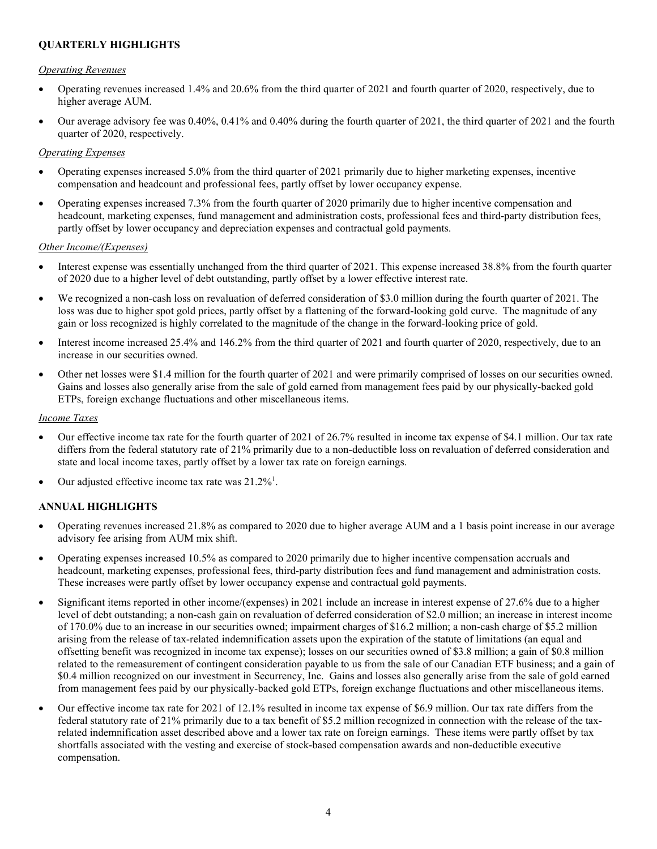## **QUARTERLY HIGHLIGHTS**

#### *Operating Revenues*

- Operating revenues increased 1.4% and 20.6% from the third quarter of 2021 and fourth quarter of 2020, respectively, due to higher average AUM.
- Our average advisory fee was 0.40%, 0.41% and 0.40% during the fourth quarter of 2021, the third quarter of 2021 and the fourth quarter of 2020, respectively.

#### *Operating Expenses*

- Operating expenses increased 5.0% from the third quarter of 2021 primarily due to higher marketing expenses, incentive compensation and headcount and professional fees, partly offset by lower occupancy expense.
- Operating expenses increased 7.3% from the fourth quarter of 2020 primarily due to higher incentive compensation and headcount, marketing expenses, fund management and administration costs, professional fees and third-party distribution fees, partly offset by lower occupancy and depreciation expenses and contractual gold payments.

#### *Other Income/(Expenses)*

- Interest expense was essentially unchanged from the third quarter of 2021. This expense increased 38.8% from the fourth quarter of 2020 due to a higher level of debt outstanding, partly offset by a lower effective interest rate.
- We recognized a non-cash loss on revaluation of deferred consideration of \$3.0 million during the fourth quarter of 2021. The loss was due to higher spot gold prices, partly offset by a flattening of the forward-looking gold curve. The magnitude of any gain or loss recognized is highly correlated to the magnitude of the change in the forward-looking price of gold.
- Interest income increased 25.4% and 146.2% from the third quarter of 2021 and fourth quarter of 2020, respectively, due to an increase in our securities owned.
- Other net losses were \$1.4 million for the fourth quarter of 2021 and were primarily comprised of losses on our securities owned. Gains and losses also generally arise from the sale of gold earned from management fees paid by our physically-backed gold ETPs, foreign exchange fluctuations and other miscellaneous items.

#### *Income Taxes*

- Our effective income tax rate for the fourth quarter of 2021 of 26.7% resulted in income tax expense of \$4.1 million. Our tax rate differs from the federal statutory rate of 21% primarily due to a non-deductible loss on revaluation of deferred consideration and state and local income taxes, partly offset by a lower tax rate on foreign earnings.
- Our adjusted effective income tax rate was  $21.2\%$ <sup>1</sup>.

#### **ANNUAL HIGHLIGHTS**

- Operating revenues increased 21.8% as compared to 2020 due to higher average AUM and a 1 basis point increase in our average advisory fee arising from AUM mix shift.
- Operating expenses increased 10.5% as compared to 2020 primarily due to higher incentive compensation accruals and headcount, marketing expenses, professional fees, third-party distribution fees and fund management and administration costs. These increases were partly offset by lower occupancy expense and contractual gold payments.
- Significant items reported in other income/(expenses) in 2021 include an increase in interest expense of 27.6% due to a higher level of debt outstanding; a non-cash gain on revaluation of deferred consideration of \$2.0 million; an increase in interest income of 170.0% due to an increase in our securities owned; impairment charges of \$16.2 million; a non-cash charge of \$5.2 million arising from the release of tax-related indemnification assets upon the expiration of the statute of limitations (an equal and offsetting benefit was recognized in income tax expense); losses on our securities owned of \$3.8 million; a gain of \$0.8 million related to the remeasurement of contingent consideration payable to us from the sale of our Canadian ETF business; and a gain of \$0.4 million recognized on our investment in Securrency, Inc. Gains and losses also generally arise from the sale of gold earned from management fees paid by our physically-backed gold ETPs, foreign exchange fluctuations and other miscellaneous items.
- Our effective income tax rate for 2021 of 12.1% resulted in income tax expense of \$6.9 million. Our tax rate differs from the federal statutory rate of 21% primarily due to a tax benefit of \$5.2 million recognized in connection with the release of the taxrelated indemnification asset described above and a lower tax rate on foreign earnings. These items were partly offset by tax shortfalls associated with the vesting and exercise of stock-based compensation awards and non-deductible executive compensation.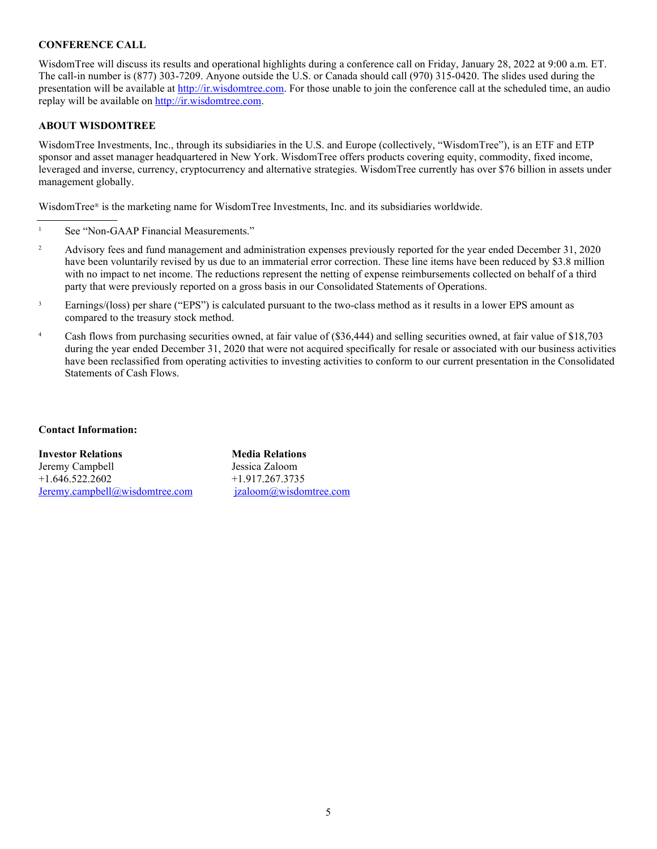## **CONFERENCE CALL**

WisdomTree will discuss its results and operational highlights during a conference call on Friday, January 28, 2022 at 9:00 a.m. ET. The call-in number is (877) 303-7209. Anyone outside the U.S. or Canada should call (970) 315-0420. The slides used during the presentation will be available a[t http://ir.wisdomtree.com.](http://ir.wisdomtree.com/) For those unable to join the conference call at the scheduled time, an audio replay will be available o[n http://ir.wisdomtree.com.](http://ir.wisdomtree.com/)

#### **ABOUT WISDOMTREE**

WisdomTree Investments, Inc., through its subsidiaries in the U.S. and Europe (collectively, "WisdomTree"), is an ETF and ETP sponsor and asset manager headquartered in New York. WisdomTree offers products covering equity, commodity, fixed income, leveraged and inverse, currency, cryptocurrency and alternative strategies. WisdomTree currently has over \$76 billion in assets under management globally.

WisdomTree® is the marketing name for WisdomTree Investments, Inc. and its subsidiaries worldwide.

- <sup>1</sup> See "Non-GAAP Financial Measurements."
- <sup>2</sup> Advisory fees and fund management and administration expenses previously reported for the year ended December 31, 2020 have been voluntarily revised by us due to an immaterial error correction. These line items have been reduced by \$3.8 million with no impact to net income. The reductions represent the netting of expense reimbursements collected on behalf of a third party that were previously reported on a gross basis in our Consolidated Statements of Operations.
- <sup>3</sup> Earnings/(loss) per share ("EPS") is calculated pursuant to the two-class method as it results in a lower EPS amount as compared to the treasury stock method.
- <sup>4</sup> Cash flows from purchasing securities owned, at fair value of (\$36,444) and selling securities owned, at fair value of \$18,703 during the year ended December 31, 2020 that were not acquired specifically for resale or associated with our business activities have been reclassified from operating activities to investing activities to conform to our current presentation in the Consolidated Statements of Cash Flows.

#### **Contact Information:**

**Investor Relations Media Relations** Jeremy Campbell Jessica Zaloom +1.646.522.2602 +1.917.267.3735<br>Jeremy.campbell@wisdomtree.com izaloom@wisdomtree.com [Jeremy.campbell@wisdomtree.com](mailto:Jeremy.campbell@wisdomtree.com)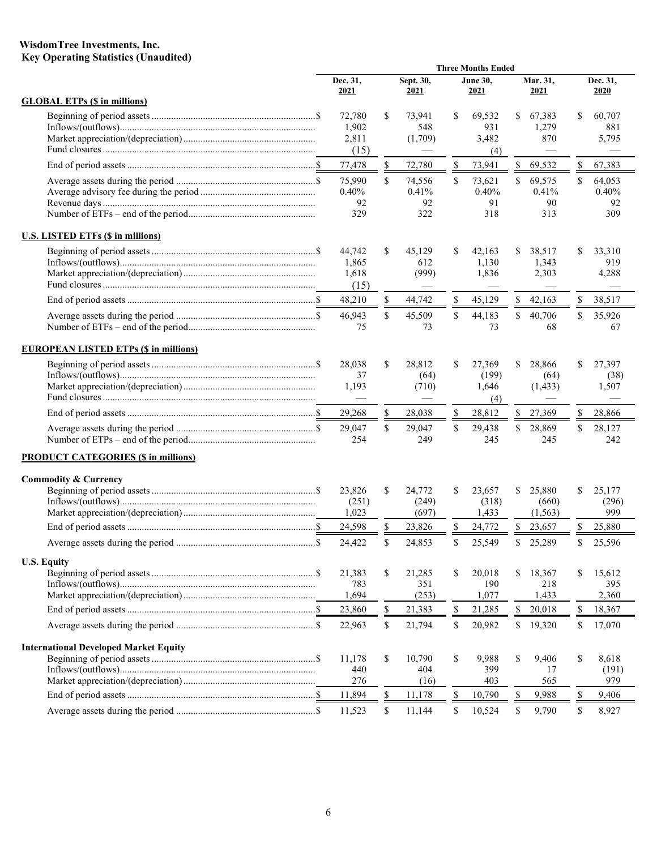## **WisdomTree Investments, Inc. Key Operating Statistics (Unaudited)**

|                                              |                                  |               |                              |    | <b>Three Months Ended</b>       |               |                                |                   |                              |
|----------------------------------------------|----------------------------------|---------------|------------------------------|----|---------------------------------|---------------|--------------------------------|-------------------|------------------------------|
|                                              | Dec. 31,<br>2021                 |               | Sept. 30,<br>2021            |    | <b>June 30,</b><br><u>2021</u>  |               | Mar. 31,<br>2021               |                   | Dec. 31,<br>2020             |
| <b>GLOBAL ETPs (\$ in millions)</b>          | 72,780<br>1,902<br>2,811<br>(15) | \$            | 73,941<br>548<br>(1,709)     | S. | 69,532<br>931<br>3,482<br>(4)   | \$            | 67,383<br>1,279<br>870         | \$                | 60,707<br>881<br>5,795       |
|                                              | 77,478                           | \$            | 72,780                       | \$ | 73,941                          | <sup>\$</sup> | 69,532                         | \$                | 67,383                       |
|                                              | 75,990<br>0.40%<br>92<br>329     | \$            | 74,556<br>0.41%<br>92<br>322 | \$ | 73,621<br>0.40%<br>91<br>318    |               | \$69,575<br>0.41%<br>90<br>313 | \$                | 64,053<br>0.40%<br>92<br>309 |
| <b>U.S. LISTED ETFs (\$ in millions)</b>     |                                  |               |                              |    |                                 |               |                                |                   |                              |
|                                              | 44,742<br>1,865<br>1,618<br>(15) | \$            | 45,129<br>612<br>(999)       | S  | 42,163<br>1,130<br>1,836        | \$            | 38,517<br>1,343<br>2,303       | S                 | 33,310<br>919<br>4,288       |
|                                              | 48,210                           | \$            | 44,742                       | \$ | 45,129                          | $\mathbb{S}$  | 42,163                         | \$                | 38,517                       |
|                                              | 46,943<br>75                     | \$            | 45,509<br>73                 | \$ | 44,183<br>73                    | \$            | 40,706<br>68                   | \$                | 35,926<br>67                 |
| <b>EUROPEAN LISTED ETPs (\$ in millions)</b> |                                  |               |                              |    |                                 |               |                                |                   |                              |
|                                              | 28,038<br>37<br>1,193            | \$            | 28,812<br>(64)<br>(710)      | \$ | 27,369<br>(199)<br>1,646<br>(4) | \$            | 28,866<br>(64)<br>(1, 433)     | S                 | 27,397<br>(38)<br>1,507      |
|                                              | 29,268                           | $\frac{1}{2}$ | 28,038                       | \$ | 28,812                          | \$            | 27,369                         | \$                | 28,866                       |
|                                              | 29,047<br>254                    | \$            | 29,047<br>249                | \$ | 29,438<br>245                   | \$            | 28,869<br>245                  | \$                | 28,127<br>242                |
| <b>PRODUCT CATEGORIES (\$ in millions)</b>   |                                  |               |                              |    |                                 |               |                                |                   |                              |
| <b>Commodity &amp; Currency</b>              | 23,826<br>(251)<br>1,023         | \$            | 24,772<br>(249)<br>(697)     | \$ | 23,657<br>(318)<br>1,433        | \$            | 25,880<br>(660)<br>(1, 563)    | \$                | 25,177<br>(296)<br>999       |
|                                              | 24,598                           | \$            | 23,826                       |    | 24,772                          | \$            | 23,657                         | S                 | 25,880                       |
|                                              | 24,422                           | \$            | 24,853                       | \$ | 25,549                          | \$            | 25,289                         | \$                | 25,596                       |
| <b>U.S. Equity</b>                           | 21,383<br>783<br>1,694           | \$            | 21,285<br>351<br>(253)       | \$ | 20,018<br>190<br>1,077          | \$            | 18,367<br>218<br>1,433         | \$                | 15,612<br>395<br>2,360       |
|                                              | 23,860                           | \$            | 21,383                       | \$ | 21,285                          | $\mathbb{S}$  | 20,018                         | \$                | 18,367                       |
|                                              | 22,963                           | \$            | 21,794                       | \$ | 20,982                          | \$            | 19,320                         | \$                | 17,070                       |
| <b>International Developed Market Equity</b> | 11,178<br>440<br>276             | \$            | 10,790<br>404<br>(16)        | \$ | 9,988<br>399<br>403             | \$            | 9,406<br>17<br>565             | \$                | 8,618<br>(191)<br>979        |
|                                              | 11,894                           | \$            | 11,178                       | \$ | 10,790                          | \$            | 9,988                          | $\boldsymbol{\S}$ | 9,406                        |
|                                              | 11,523                           | \$            | 11,144                       | \$ | 10,524                          | \$            | 9,790                          | \$                | 8,927                        |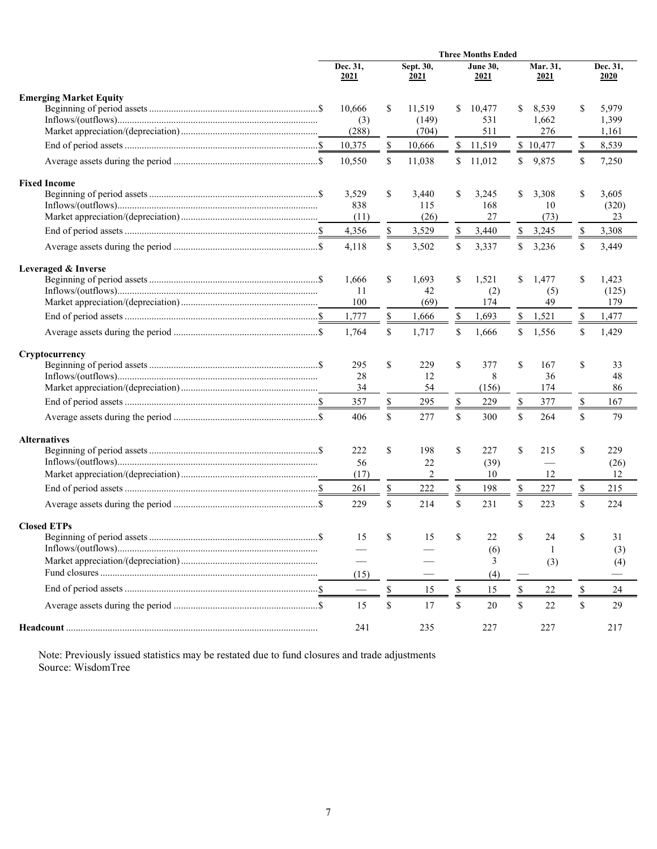|                               |                  |                          |    | <b>Three Months Ended</b>      |               |                  |                           |                  |
|-------------------------------|------------------|--------------------------|----|--------------------------------|---------------|------------------|---------------------------|------------------|
|                               | Dec. 31,<br>2021 | Sept. 30,<br><u>2021</u> |    | <b>June 30,</b><br><u>2021</u> |               | Mar. 31,<br>2021 |                           | Dec. 31,<br>2020 |
| <b>Emerging Market Equity</b> |                  |                          |    |                                |               |                  |                           |                  |
|                               | 10,666<br>(3)    | \$<br>11,519<br>(149)    | S. | 10,477<br>531                  | \$.           | 8,539<br>1,662   | \$                        | 5,979<br>1,399   |
|                               | (288)            | (704)                    |    | 511                            |               | 276              |                           | 1,161            |
|                               | 10,375           | \$<br>10,666             | \$ | 11,519                         |               | \$10,477         | \$                        | 8,539            |
|                               | 10,550           | \$<br>11,038             | \$ | 11,012                         | \$            | 9,875            | \$                        | 7,250            |
| <b>Fixed Income</b>           |                  |                          |    |                                |               |                  |                           |                  |
|                               | 3,529            | \$<br>3,440              | \$ | 3,245                          | S             | 3,308            | \$                        | 3,605            |
|                               | 838              | 115                      |    | 168                            |               | 10               |                           | (320)            |
|                               | (11)             | (26)                     |    | 27                             |               | (73)             |                           | 23               |
|                               | 4,356            | \$<br>3,529              | \$ | 3,440                          | \$            | 3,245            | \$                        | 3,308            |
|                               | 4,118            | \$<br>3,502              | \$ | 3,337                          | \$            | 3,236            | \$                        | 3,449            |
| Leveraged & Inverse           |                  |                          |    |                                |               |                  |                           |                  |
|                               | 1,666            | \$<br>1,693              | \$ | 1,521                          | \$            | 1,477            | \$                        | 1,423            |
|                               | 11               | 42                       |    | (2)                            |               | (5)              |                           | (125)            |
|                               | 100              | (69)                     |    | 174                            |               | 49               |                           | 179              |
|                               | 1,777            | \$<br>1,666              | \$ | 1,693                          | \$            | 1,521            | \$                        | 1,477            |
|                               | 1,764            | \$<br>1,717              | \$ | 1,666                          | \$            | 1,556            | \$                        | 1,429            |
| Cryptocurrency                |                  |                          |    |                                |               |                  |                           |                  |
|                               | 295              | \$<br>229                | \$ | 377                            | \$            | 167              | \$                        | 33               |
|                               | 28               | 12                       |    | 8                              |               | 36               |                           | 48               |
|                               | 34               | 54                       |    | (156)                          |               | 174              |                           | 86               |
|                               | 357              | \$<br>295                | \$ | 229                            | \$            | 377              | \$                        | 167              |
|                               | 406              | \$<br>277                | \$ | 300                            | $\mathbb{S}$  | 264              | \$                        | 79               |
| <b>Alternatives</b>           |                  |                          |    |                                |               |                  |                           |                  |
|                               | 222              | \$<br>198                | \$ | 227                            | \$            | 215              | \$                        | 229              |
|                               | 56               | 22                       |    | (39)                           |               |                  |                           | (26)             |
|                               | (17)             | $\overline{2}$           |    | 10                             |               | 12               |                           | 12               |
|                               | 261              | \$<br>222                | \$ | 198                            | \$            | 227              | $\boldsymbol{\mathsf{S}}$ | 215              |
|                               | 229              | \$<br>214                | \$ | 231                            | \$            | 223              | \$                        | 224              |
| <b>Closed ETPs</b>            |                  |                          |    |                                |               |                  |                           |                  |
|                               | 15               | \$<br>15                 | \$ | 22                             | <sup>\$</sup> | 24               | \$                        | 31               |
|                               |                  |                          |    | (6)                            |               | 1                |                           | (3)              |
|                               |                  |                          |    | 3                              |               | (3)              |                           | (4)              |
|                               | (15)             |                          |    | (4)                            |               |                  |                           |                  |
|                               |                  | 15                       | \$ | 15                             | $\frac{1}{2}$ | 22               | $\boldsymbol{\mathsf{S}}$ | 24               |
|                               | 15               | \$<br>17                 | \$ | $20\,$                         | \$            | 22               | \$                        | 29               |
|                               | 241              | 235                      |    | 227                            |               | 227              |                           | 217              |

Note: Previously issued statistics may be restated due to fund closures and trade adjustments Source: WisdomTree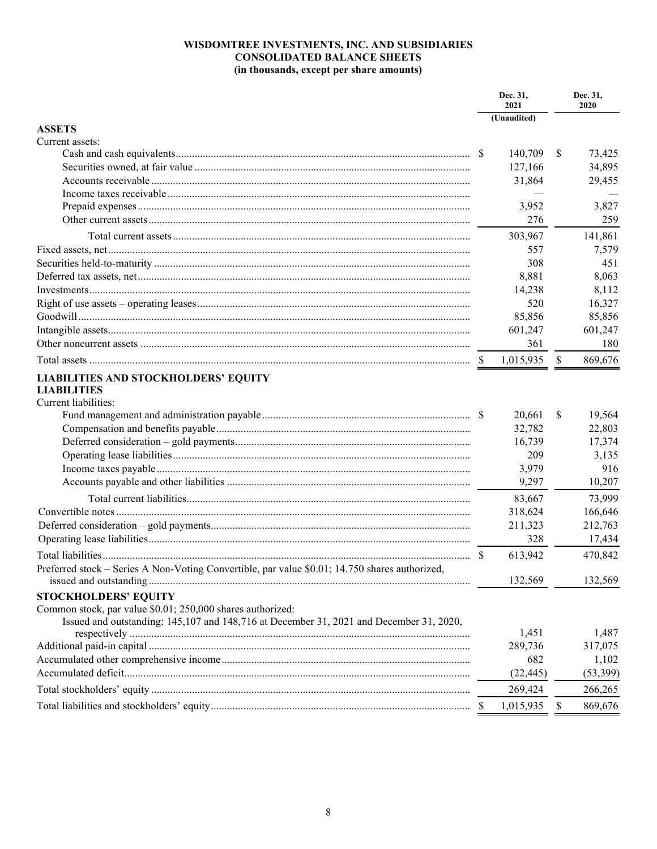## WISDOMTREE INVESTMENTS, INC. AND SUBSIDIARIES **CONSOLIDATED BALANCE SHEETS** (in thousands, except per share amounts)

|                                                                                                |    | Dec. 31,<br>2021<br>(Unaudited) |               | Dec. 31,<br>2020 |  |
|------------------------------------------------------------------------------------------------|----|---------------------------------|---------------|------------------|--|
| <b>ASSETS</b>                                                                                  |    |                                 |               |                  |  |
| Current assets:                                                                                |    |                                 |               |                  |  |
|                                                                                                |    | 140,709                         | \$            | 73,425           |  |
|                                                                                                |    | 127,166                         |               | 34,895           |  |
|                                                                                                |    | 31,864                          |               | 29,455           |  |
|                                                                                                |    |                                 |               |                  |  |
|                                                                                                |    | 3,952                           |               | 3,827            |  |
|                                                                                                |    | 276                             |               | 259              |  |
|                                                                                                |    | 303,967                         |               | 141,861          |  |
|                                                                                                |    | 557                             |               | 7,579            |  |
|                                                                                                |    | 308                             |               | 451              |  |
|                                                                                                |    | 8,881                           |               | 8,063            |  |
|                                                                                                |    | 14,238                          |               | 8,112            |  |
|                                                                                                |    | 520                             |               | 16,327           |  |
|                                                                                                |    | 85,856                          |               | 85,856           |  |
|                                                                                                |    | 601,247                         |               | 601,247          |  |
|                                                                                                |    | 361                             |               | 180              |  |
|                                                                                                |    | 1,015,935                       | \$            | 869,676          |  |
| <b>LIABILITIES AND STOCKHOLDERS' EQUITY</b><br><b>LIABILITIES</b><br>Current liabilities:      |    | 20,661                          | <sup>\$</sup> | 19,564           |  |
|                                                                                                |    |                                 |               |                  |  |
|                                                                                                |    | 32,782<br>16,739                |               | 22,803<br>17,374 |  |
|                                                                                                |    | 209                             |               | 3,135            |  |
|                                                                                                |    | 3,979                           |               | 916              |  |
|                                                                                                |    | 9,297                           |               | 10,207           |  |
|                                                                                                |    | 83,667                          |               | 73,999           |  |
|                                                                                                |    | 318,624                         |               | 166,646          |  |
|                                                                                                |    | 211,323                         |               | 212,763          |  |
|                                                                                                |    | 328                             |               | 17,434           |  |
|                                                                                                | -S | 613,942                         |               | 470,842          |  |
| Preferred stock - Series A Non-Voting Convertible, par value \$0.01; 14.750 shares authorized, |    |                                 |               |                  |  |
|                                                                                                |    | 132,569                         |               | 132,569          |  |
| <b>STOCKHOLDERS' EQUITY</b>                                                                    |    |                                 |               |                  |  |
| Common stock, par value \$0.01; 250,000 shares authorized:                                     |    |                                 |               |                  |  |
| Issued and outstanding: 145,107 and 148,716 at December 31, 2021 and December 31, 2020,        |    | 1,451                           |               | 1,487            |  |
|                                                                                                |    | 289,736                         |               | 317,075          |  |
|                                                                                                |    | 682                             |               | 1,102            |  |
|                                                                                                |    | (22, 445)                       |               | (53, 399)        |  |
|                                                                                                |    | 269,424                         |               | 266,265          |  |
|                                                                                                |    | 1,015,935                       | S             | 869,676          |  |
|                                                                                                |    |                                 |               |                  |  |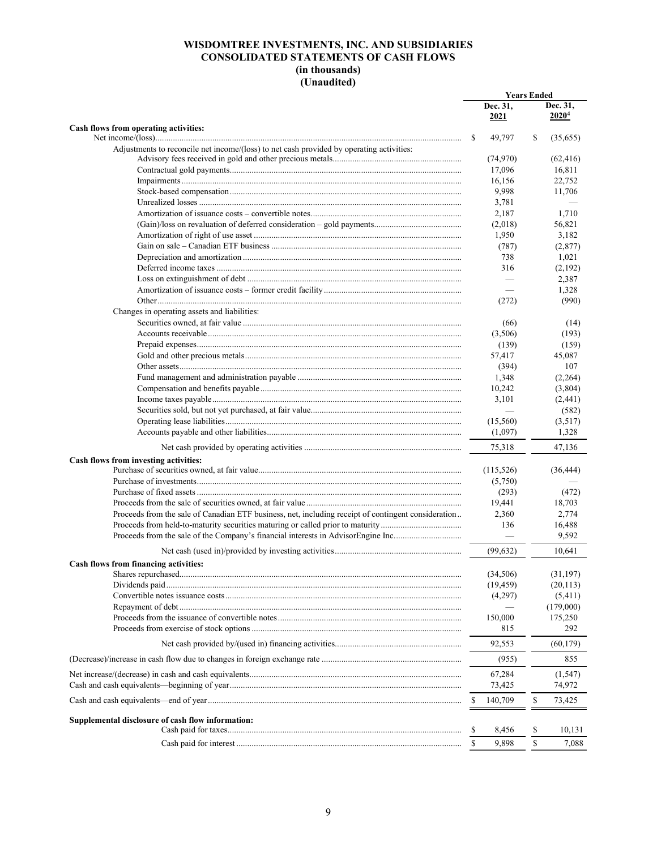### **WISDOMTREE INVESTMENTS, INC. AND SUBSIDIARIES CONSOLIDATED STATEMENTS OF CASH FLOWS (in thousands) (Unaudited)**

|                                                                                                     |    | <b>Years Ended</b>       |    |           |
|-----------------------------------------------------------------------------------------------------|----|--------------------------|----|-----------|
|                                                                                                     |    | Dec. 31,                 |    | Dec. 31,  |
|                                                                                                     |    | 2021                     |    | $2020^4$  |
| Cash flows from operating activities:                                                               |    |                          |    |           |
|                                                                                                     | S  | 49,797                   | S  | (35,655)  |
| Adjustments to reconcile net income/(loss) to net cash provided by operating activities:            |    |                          |    |           |
|                                                                                                     |    | (74,970)                 |    | (62, 416) |
|                                                                                                     |    | 17,096                   |    | 16,811    |
|                                                                                                     |    | 16,156                   |    | 22,752    |
|                                                                                                     |    | 9,998                    |    | 11,706    |
|                                                                                                     |    | 3,781                    |    |           |
|                                                                                                     |    | 2,187                    |    | 1,710     |
|                                                                                                     |    | (2,018)                  |    | 56,821    |
|                                                                                                     |    | 1,950                    |    | 3,182     |
|                                                                                                     |    | (787)                    |    | (2,877)   |
|                                                                                                     |    | 738                      |    | 1,021     |
|                                                                                                     |    | 316                      |    | (2,192)   |
|                                                                                                     |    |                          |    | 2,387     |
|                                                                                                     |    |                          |    | 1,328     |
|                                                                                                     |    | (272)                    |    | (990)     |
| Changes in operating assets and liabilities:                                                        |    |                          |    |           |
|                                                                                                     |    | (66)                     |    | (14)      |
|                                                                                                     |    | (3,506)                  |    | (193)     |
|                                                                                                     |    | (139)                    |    | (159)     |
|                                                                                                     |    | 57,417                   |    | 45.087    |
|                                                                                                     |    | (394)                    |    | 107       |
|                                                                                                     |    | 1,348                    |    | (2,264)   |
|                                                                                                     |    | 10,242                   |    | (3,804)   |
|                                                                                                     |    | 3,101                    |    | (2, 441)  |
|                                                                                                     |    | $\overline{\phantom{0}}$ |    | (582)     |
|                                                                                                     |    | (15,560)                 |    | (3,517)   |
|                                                                                                     |    | (1,097)                  |    | 1,328     |
|                                                                                                     |    | 75,318                   |    | 47.136    |
| Cash flows from investing activities:                                                               |    |                          |    |           |
|                                                                                                     |    | (115,526)                |    | (36, 444) |
|                                                                                                     |    | (5,750)                  |    |           |
|                                                                                                     |    | (293)                    |    | (472)     |
|                                                                                                     |    | 19,441                   |    | 18,703    |
| Proceeds from the sale of Canadian ETF business, net, including receipt of contingent consideration |    | 2,360                    |    | 2,774     |
|                                                                                                     |    | 136                      |    | 16,488    |
| Proceeds from the sale of the Company's financial interests in AdvisorEngine Inc                    |    |                          |    | 9,592     |
|                                                                                                     |    | (99, 632)                |    | 10,641    |
| Cash flows from financing activities:                                                               |    |                          |    |           |
|                                                                                                     |    | (34,506)                 |    | (31,197)  |
|                                                                                                     |    | (19, 459)                |    | (20, 113) |
|                                                                                                     |    | (4,297)                  |    | (5,411)   |
|                                                                                                     |    |                          |    | (179,000) |
|                                                                                                     |    | 150,000                  |    | 175,250   |
|                                                                                                     |    | 815                      |    | 292       |
|                                                                                                     |    | 92,553                   |    | (60, 179) |
|                                                                                                     |    | (955)                    |    | 855       |
|                                                                                                     |    | 67,284                   |    | (1, 547)  |
|                                                                                                     |    | 73,425                   |    | 74,972    |
|                                                                                                     | -S | 140,709                  | \$ | 73,425    |
| Supplemental disclosure of cash flow information:                                                   |    |                          |    |           |
|                                                                                                     | \$ | 8,456                    |    | 10,131    |
|                                                                                                     | -S | 9,898                    | S  | 7,088     |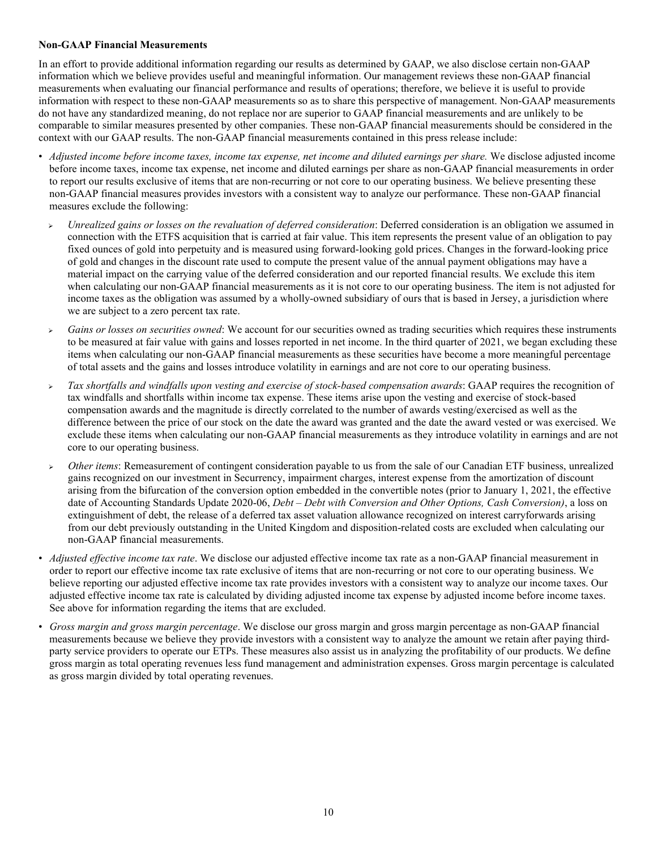#### **Non-GAAP Financial Measurements**

In an effort to provide additional information regarding our results as determined by GAAP, we also disclose certain non-GAAP information which we believe provides useful and meaningful information. Our management reviews these non-GAAP financial measurements when evaluating our financial performance and results of operations; therefore, we believe it is useful to provide information with respect to these non-GAAP measurements so as to share this perspective of management. Non-GAAP measurements do not have any standardized meaning, do not replace nor are superior to GAAP financial measurements and are unlikely to be comparable to similar measures presented by other companies. These non-GAAP financial measurements should be considered in the context with our GAAP results. The non-GAAP financial measurements contained in this press release include:

- *Adjusted income before income taxes, income tax expense, net income and diluted earnings per share.* We disclose adjusted income before income taxes, income tax expense, net income and diluted earnings per share as non-GAAP financial measurements in order to report our results exclusive of items that are non-recurring or not core to our operating business. We believe presenting these non-GAAP financial measures provides investors with a consistent way to analyze our performance. These non-GAAP financial measures exclude the following:
	- *Unrealized gains or losses on the revaluation of deferred consideration*: Deferred consideration is an obligation we assumed in connection with the ETFS acquisition that is carried at fair value. This item represents the present value of an obligation to pay fixed ounces of gold into perpetuity and is measured using forward-looking gold prices. Changes in the forward-looking price of gold and changes in the discount rate used to compute the present value of the annual payment obligations may have a material impact on the carrying value of the deferred consideration and our reported financial results. We exclude this item when calculating our non-GAAP financial measurements as it is not core to our operating business. The item is not adjusted for income taxes as the obligation was assumed by a wholly-owned subsidiary of ours that is based in Jersey, a jurisdiction where we are subject to a zero percent tax rate.
	- *Gains or losses on securities owned*: We account for our securities owned as trading securities which requires these instruments to be measured at fair value with gains and losses reported in net income. In the third quarter of 2021, we began excluding these items when calculating our non-GAAP financial measurements as these securities have become a more meaningful percentage of total assets and the gains and losses introduce volatility in earnings and are not core to our operating business.
- *Tax shortfalls and windfalls upon vesting and exercise of stock-based compensation awards*: GAAP requires the recognition of tax windfalls and shortfalls within income tax expense. These items arise upon the vesting and exercise of stock-based compensation awards and the magnitude is directly correlated to the number of awards vesting/exercised as well as the difference between the price of our stock on the date the award was granted and the date the award vested or was exercised. We exclude these items when calculating our non-GAAP financial measurements as they introduce volatility in earnings and are not core to our operating business.
- *Other items*: Remeasurement of contingent consideration payable to us from the sale of our Canadian ETF business, unrealized gains recognized on our investment in Securrency, impairment charges, interest expense from the amortization of discount arising from the bifurcation of the conversion option embedded in the convertible notes (prior to January 1, 2021, the effective date of Accounting Standards Update 2020-06, *Debt – Debt with Conversion and Other Options, Cash Conversion)*, a loss on extinguishment of debt, the release of a deferred tax asset valuation allowance recognized on interest carryforwards arising from our debt previously outstanding in the United Kingdom and disposition-related costs are excluded when calculating our non-GAAP financial measurements.
- *Adjusted effective income tax rate*. We disclose our adjusted effective income tax rate as a non-GAAP financial measurement in order to report our effective income tax rate exclusive of items that are non-recurring or not core to our operating business. We believe reporting our adjusted effective income tax rate provides investors with a consistent way to analyze our income taxes. Our adjusted effective income tax rate is calculated by dividing adjusted income tax expense by adjusted income before income taxes. See above for information regarding the items that are excluded.
- *Gross margin and gross margin percentage*. We disclose our gross margin and gross margin percentage as non-GAAP financial measurements because we believe they provide investors with a consistent way to analyze the amount we retain after paying thirdparty service providers to operate our ETPs. These measures also assist us in analyzing the profitability of our products. We define gross margin as total operating revenues less fund management and administration expenses. Gross margin percentage is calculated as gross margin divided by total operating revenues.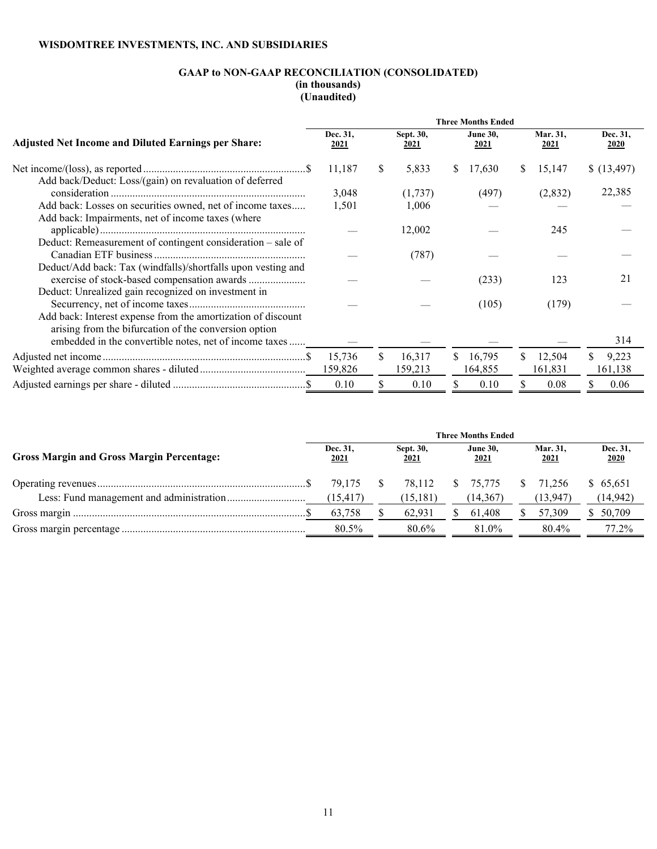# **WISDOMTREE INVESTMENTS, INC. AND SUBSIDIARIES**

#### **GAAP to NON-GAAP RECONCILIATION (CONSOLIDATED) (in thousands) (Unaudited)**

|                                                              | <b>Three Months Ended</b> |    |                   |               |                         |    |                  |                         |  |  |  |
|--------------------------------------------------------------|---------------------------|----|-------------------|---------------|-------------------------|----|------------------|-------------------------|--|--|--|
| <b>Adjusted Net Income and Diluted Earnings per Share:</b>   | Dec. 31,<br>2021          |    | Sept. 30,<br>2021 |               | <b>June 30,</b><br>2021 |    | Mar. 31,<br>2021 | Dec. 31,<br><b>2020</b> |  |  |  |
|                                                              | 11,187                    | S. | 5,833             | S.            | 17,630                  | S. | 15,147           | (13, 497)               |  |  |  |
| Add back/Deduct: Loss/(gain) on revaluation of deferred      |                           |    |                   |               |                         |    |                  |                         |  |  |  |
|                                                              | 3,048                     |    | (1,737)           |               | (497)                   |    | (2,832)          | 22,385                  |  |  |  |
| Add back: Losses on securities owned, net of income taxes    | 1,501                     |    | 1,006             |               |                         |    |                  |                         |  |  |  |
| Add back: Impairments, net of income taxes (where            |                           |    |                   |               |                         |    |                  |                         |  |  |  |
|                                                              |                           |    | 12,002            |               |                         |    | 245              |                         |  |  |  |
| Deduct: Remeasurement of contingent consideration – sale of  |                           |    |                   |               |                         |    |                  |                         |  |  |  |
|                                                              |                           |    | (787)             |               |                         |    |                  |                         |  |  |  |
| Deduct/Add back: Tax (windfalls)/shortfalls upon vesting and |                           |    |                   |               |                         |    |                  |                         |  |  |  |
|                                                              |                           |    |                   |               | (233)                   |    | 123              | 21                      |  |  |  |
| Deduct: Unrealized gain recognized on investment in          |                           |    |                   |               |                         |    |                  |                         |  |  |  |
|                                                              |                           |    |                   |               | (105)                   |    | (179)            |                         |  |  |  |
| Add back: Interest expense from the amortization of discount |                           |    |                   |               |                         |    |                  |                         |  |  |  |
| arising from the bifurcation of the conversion option        |                           |    |                   |               |                         |    |                  |                         |  |  |  |
| embedded in the convertible notes, net of income taxes       |                           |    |                   |               |                         |    |                  | 314                     |  |  |  |
|                                                              |                           |    |                   |               |                         |    |                  |                         |  |  |  |
|                                                              | 15,736                    | S. | 16,317            | <sup>\$</sup> | 16,795                  | \$ | 12,504           | \$<br>9,223             |  |  |  |
|                                                              | 159,826                   |    | 159,213           |               | 164,855                 |    | 161,831          | 161,138                 |  |  |  |
|                                                              | 0.10                      |    | 0.10              | S             | 0.10                    | \$ | 0.08             | 0.06<br>\$              |  |  |  |

|                                                  | <b>Three Months Ended</b> |                                   |           |    |                         |              |                  |                  |  |  |  |
|--------------------------------------------------|---------------------------|-----------------------------------|-----------|----|-------------------------|--------------|------------------|------------------|--|--|--|
| <b>Gross Margin and Gross Margin Percentage:</b> | Dec. 31,<br>2021          | <b>Sept. 30,</b><br><u> 2021 </u> |           |    | <b>June 30.</b><br>2021 |              | Mar. 31,<br>2021 | Dec. 31,<br>2020 |  |  |  |
|                                                  | 79.175                    |                                   | 78.112    | -S | 75.775                  | <sup>S</sup> | 71.256           | \$ 65,651        |  |  |  |
|                                                  | (15, 417)                 |                                   | (15, 181) |    | (14, 367)               |              | (13,947)         | (14, 942)        |  |  |  |
|                                                  | 63,758                    |                                   | 62.931    | S. | 61.408                  |              | 57,309           | \$50,709         |  |  |  |
|                                                  | 80.5%                     |                                   | 80.6%     |    | 81.0%                   |              | 80.4%            | 77.2%            |  |  |  |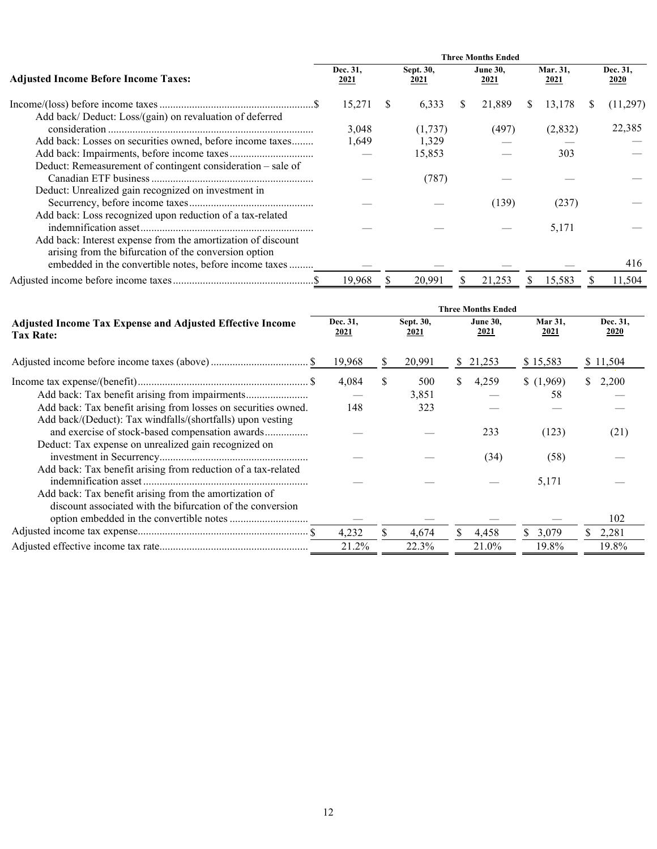|                                                              | <b>Three Months Ended</b> |  |                   |  |                         |    |                  |   |                         |  |  |
|--------------------------------------------------------------|---------------------------|--|-------------------|--|-------------------------|----|------------------|---|-------------------------|--|--|
| <b>Adjusted Income Before Income Taxes:</b>                  | Dec. 31,<br>2021          |  | Sept. 30,<br>2021 |  | <b>June 30,</b><br>2021 |    | Mar. 31,<br>2021 |   | Dec. 31,<br><b>2020</b> |  |  |
|                                                              | 15,271                    |  | 6,333             |  | 21,889                  | S. | 13,178           | S | (11,297)                |  |  |
| Add back/ Deduct: Loss/(gain) on revaluation of deferred     |                           |  |                   |  |                         |    |                  |   |                         |  |  |
|                                                              | 3,048                     |  | (1,737)           |  | (497)                   |    | (2,832)          |   | 22,385                  |  |  |
| Add back: Losses on securities owned, before income taxes    | 1,649                     |  | 1,329             |  |                         |    |                  |   |                         |  |  |
|                                                              |                           |  | 15,853            |  |                         |    | 303              |   |                         |  |  |
| Deduct: Remeasurement of contingent consideration – sale of  |                           |  |                   |  |                         |    |                  |   |                         |  |  |
|                                                              |                           |  | (787)             |  |                         |    |                  |   |                         |  |  |
| Deduct: Unrealized gain recognized on investment in          |                           |  |                   |  |                         |    |                  |   |                         |  |  |
|                                                              |                           |  |                   |  | (139)                   |    | (237)            |   |                         |  |  |
| Add back: Loss recognized upon reduction of a tax-related    |                           |  |                   |  |                         |    |                  |   |                         |  |  |
|                                                              |                           |  |                   |  |                         |    | 5,171            |   |                         |  |  |
| Add back: Interest expense from the amortization of discount |                           |  |                   |  |                         |    |                  |   |                         |  |  |
| arising from the bifurcation of the conversion option        |                           |  |                   |  |                         |    |                  |   |                         |  |  |
| embedded in the convertible notes, before income taxes       |                           |  |                   |  |                         |    |                  |   | 416                     |  |  |
|                                                              | 19,968                    |  | 20.991            |  | 21.253                  |    | 15,583           |   | 11,504                  |  |  |

|                                                                               | <b>Three Months Ended</b> |                   |        |    |                         |                 |                  |  |  |  |  |  |
|-------------------------------------------------------------------------------|---------------------------|-------------------|--------|----|-------------------------|-----------------|------------------|--|--|--|--|--|
| <b>Adjusted Income Tax Expense and Adjusted Effective Income</b><br>Tax Rate: | Dec. 31,<br>2021          | Sept. 30,<br>2021 |        |    | <b>June 30,</b><br>2021 | Mar 31,<br>2021 | Dec. 31,<br>2020 |  |  |  |  |  |
|                                                                               | 19,968                    |                   | 20,991 |    | \$21,253                | \$15,583        | \$11,504         |  |  |  |  |  |
|                                                                               | 4,084                     | S                 | 500    | S. | 4,259                   | (1,969)         | 2,200<br>S.      |  |  |  |  |  |
| Add back: Tax benefit arising from impairments                                |                           |                   | 3,851  |    |                         | 58              |                  |  |  |  |  |  |
| Add back: Tax benefit arising from losses on securities owned.                | 148                       |                   | 323    |    |                         |                 |                  |  |  |  |  |  |
| Add back/(Deduct): Tax windfalls/(shortfalls) upon vesting                    |                           |                   |        |    |                         |                 |                  |  |  |  |  |  |
| and exercise of stock-based compensation awards                               |                           |                   |        |    | 233                     | (123)           | (21)             |  |  |  |  |  |
| Deduct: Tax expense on unrealized gain recognized on                          |                           |                   |        |    |                         |                 |                  |  |  |  |  |  |
|                                                                               |                           |                   |        |    | (34)                    | (58)            |                  |  |  |  |  |  |
| Add back: Tax benefit arising from reduction of a tax-related                 |                           |                   |        |    |                         |                 |                  |  |  |  |  |  |
|                                                                               |                           |                   |        |    |                         | 5,171           |                  |  |  |  |  |  |
| Add back: Tax benefit arising from the amortization of                        |                           |                   |        |    |                         |                 |                  |  |  |  |  |  |
| discount associated with the bifurcation of the conversion                    |                           |                   |        |    |                         |                 |                  |  |  |  |  |  |
|                                                                               |                           |                   |        |    |                         |                 | 102              |  |  |  |  |  |
|                                                                               | 4,232                     | \$                | 4,674  | \$ | 4,458                   | 3,079<br>S      | 2,281            |  |  |  |  |  |
|                                                                               | 21.2%                     |                   | 22.3%  |    | 21.0%                   | 19.8%           | 19.8%            |  |  |  |  |  |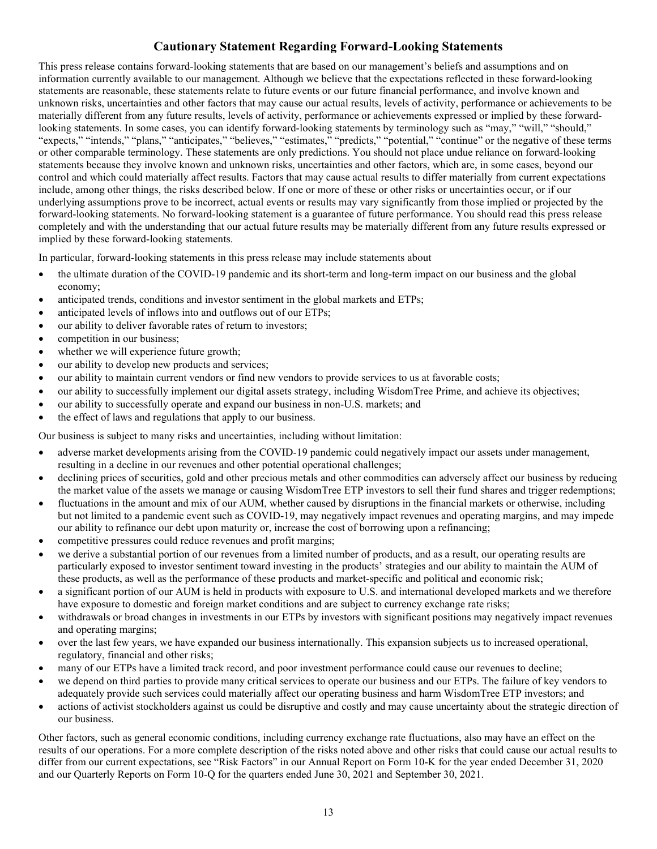# **Cautionary Statement Regarding Forward-Looking Statements**

This press release contains forward-looking statements that are based on our management's beliefs and assumptions and on information currently available to our management. Although we believe that the expectations reflected in these forward-looking statements are reasonable, these statements relate to future events or our future financial performance, and involve known and unknown risks, uncertainties and other factors that may cause our actual results, levels of activity, performance or achievements to be materially different from any future results, levels of activity, performance or achievements expressed or implied by these forwardlooking statements. In some cases, you can identify forward-looking statements by terminology such as "may," "will," "should," "expects," "intends," "plans," "anticipates," "believes," "estimates," "predicts," "potential," "continue" or the negative of these terms or other comparable terminology. These statements are only predictions. You should not place undue reliance on forward-looking statements because they involve known and unknown risks, uncertainties and other factors, which are, in some cases, beyond our control and which could materially affect results. Factors that may cause actual results to differ materially from current expectations include, among other things, the risks described below. If one or more of these or other risks or uncertainties occur, or if our underlying assumptions prove to be incorrect, actual events or results may vary significantly from those implied or projected by the forward-looking statements. No forward-looking statement is a guarantee of future performance. You should read this press release completely and with the understanding that our actual future results may be materially different from any future results expressed or implied by these forward-looking statements.

In particular, forward-looking statements in this press release may include statements about

- the ultimate duration of the COVID-19 pandemic and its short-term and long-term impact on our business and the global economy;
- anticipated trends, conditions and investor sentiment in the global markets and ETPs;
- anticipated levels of inflows into and outflows out of our ETPs;
- our ability to deliver favorable rates of return to investors;
- competition in our business;
- whether we will experience future growth;
- our ability to develop new products and services;
- our ability to maintain current vendors or find new vendors to provide services to us at favorable costs;
- our ability to successfully implement our digital assets strategy, including WisdomTree Prime, and achieve its objectives;
- our ability to successfully operate and expand our business in non-U.S. markets; and
- the effect of laws and regulations that apply to our business.

Our business is subject to many risks and uncertainties, including without limitation:

- adverse market developments arising from the COVID-19 pandemic could negatively impact our assets under management, resulting in a decline in our revenues and other potential operational challenges;
- declining prices of securities, gold and other precious metals and other commodities can adversely affect our business by reducing the market value of the assets we manage or causing WisdomTree ETP investors to sell their fund shares and trigger redemptions;
- fluctuations in the amount and mix of our AUM, whether caused by disruptions in the financial markets or otherwise, including but not limited to a pandemic event such as COVID-19, may negatively impact revenues and operating margins, and may impede our ability to refinance our debt upon maturity or, increase the cost of borrowing upon a refinancing;
- competitive pressures could reduce revenues and profit margins;
- we derive a substantial portion of our revenues from a limited number of products, and as a result, our operating results are particularly exposed to investor sentiment toward investing in the products' strategies and our ability to maintain the AUM of these products, as well as the performance of these products and market-specific and political and economic risk;
- a significant portion of our AUM is held in products with exposure to U.S. and international developed markets and we therefore have exposure to domestic and foreign market conditions and are subject to currency exchange rate risks;
- withdrawals or broad changes in investments in our ETPs by investors with significant positions may negatively impact revenues and operating margins;
- over the last few years, we have expanded our business internationally. This expansion subjects us to increased operational, regulatory, financial and other risks;
- many of our ETPs have a limited track record, and poor investment performance could cause our revenues to decline;
- we depend on third parties to provide many critical services to operate our business and our ETPs. The failure of key vendors to adequately provide such services could materially affect our operating business and harm WisdomTree ETP investors; and
- actions of activist stockholders against us could be disruptive and costly and may cause uncertainty about the strategic direction of our business.

Other factors, such as general economic conditions, including currency exchange rate fluctuations, also may have an effect on the results of our operations. For a more complete description of the risks noted above and other risks that could cause our actual results to differ from our current expectations, see "Risk Factors" in our Annual Report on Form 10-K for the year ended December 31, 2020 and our Quarterly Reports on Form 10-Q for the quarters ended June 30, 2021 and September 30, 2021.